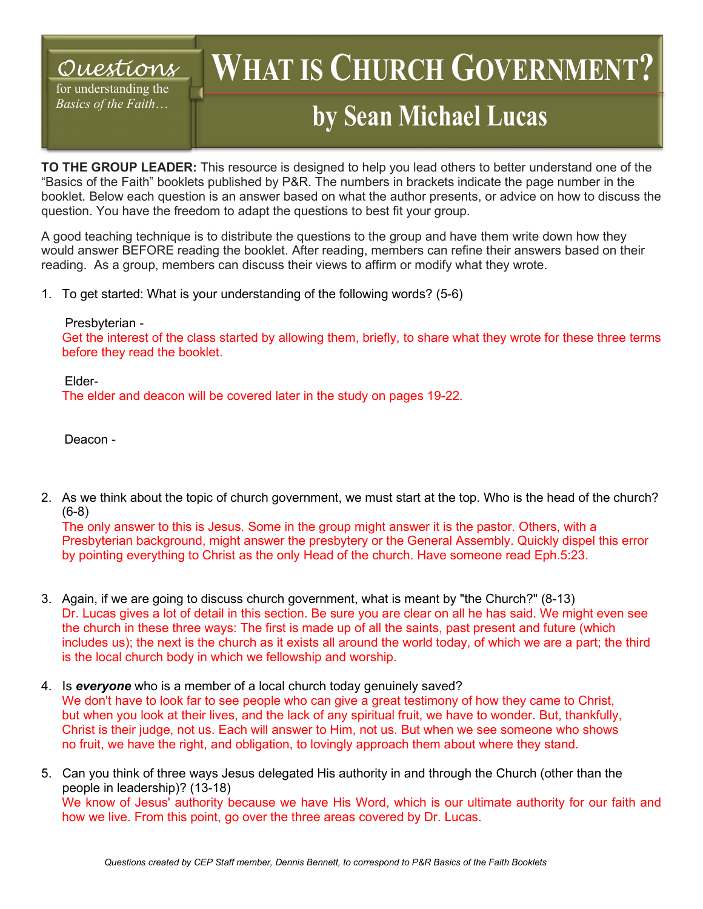## *Questions*

for understanding the *Basics of the Faith*…

## WHAT IS CHURCH GOVERNMENT **by Sean Michael Lucas**

**TO THE GROUP LEADER:** This resource is designed to help you lead others to better understand one of the "Basics of the Faith" booklets published by P&R. The numbers in brackets indicate the page number in the booklet. Below each question is an answer based on what the author presents, or advice on how to discuss the question. You have the freedom to adapt the questions to best fit your group.

A good teaching technique is to distribute the questions to the group and have them write down how they would answer BEFORE reading the booklet. After reading, members can refine their answers based on their reading. As a group, members can discuss their views to affirm or modify what they wrote.

1. To get started: What is your understanding of the following words? (5-6)

Presbyterian -

Get the interest of the class started by allowing them, briefly, to share what they wrote for these three terms before they read the booklet.

Elder-The elder and deacon will be covered later in the study on pages 19-22.

Deacon -

2. As we think about the topic of church government, we must start at the top. Who is the head of the church? (6-8)

The only answer to this is Jesus. Some in the group might answer it is the pastor. Others, with a Presbyterian background, might answer the presbytery or the General Assembly. Quickly dispel this error by pointing everything to Christ as the only Head of the church. Have someone read Eph.5:23.

- 3. Again, if we are going to discuss church government, what is meant by "the Church?" (8-13) Dr. Lucas gives a lot of detail in this section. Be sure you are clear on all he has said. We might even see the church in these three ways: The first is made up of all the saints, past present and future (which includes us); the next is the church as it exists all around the world today, of which we are a part; the third is the local church body in which we fellowship and worship.
- 4. Is *everyone* who is a member of a local church today genuinely saved? We don't have to look far to see people who can give a great testimony of how they came to Christ, but when you look at their lives, and the lack of any spiritual fruit, we have to wonder. But, thankfully, Christ is their judge, not us. Each will answer to Him, not us. But when we see someone who shows no fruit, we have the right, and obligation, to lovingly approach them about where they stand.
- 5. Can you think of three ways Jesus delegated His authority in and through the Church (other than the people in leadership)? (13-18) We know of Jesus' authority because we have His Word, which is our ultimate authority for our faith and how we live. From this point, go over the three areas covered by Dr. Lucas.